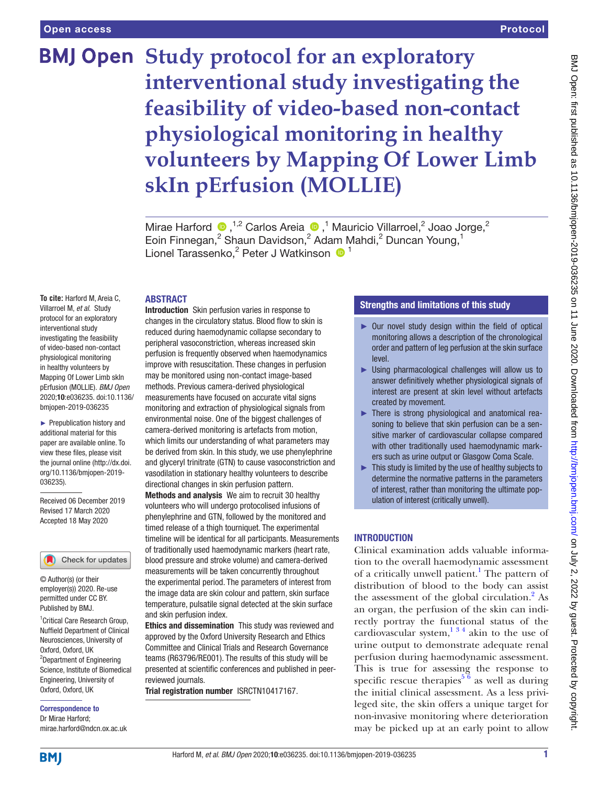# **BMJ Open** Study protocol for an exploratory **interventional study investigating the feasibility of video-based non-contact physiological monitoring in healthy volunteers by Mapping Of Lower Limb skIn pErfusion (MOLLIE)**

MiraeHarford  $\bullet$ ,<sup>1,2</sup> Carlos Areia  $\bullet$ ,<sup>1</sup> Mauricio Villarroel,<sup>2</sup> Joao Jorge,<sup>2</sup> Eoin Finnegan,<sup>2</sup> Shaun Davidson,<sup>2</sup> Adam Mahdi,<sup>2</sup> Duncan Young,<sup>1</sup> Lionel Tarassenko,<sup>2</sup> Peter J Watkinson <sup>1</sup>

#### **ABSTRACT**

**To cite:** Harford M, Areia C, Villarroel M, *et al*. Study protocol for an exploratory interventional study investigating the feasibility of video-based non-contact physiological monitoring in healthy volunteers by Mapping Of Lower Limb skIn pErfusion (MOLLIE). *BMJ Open* 2020;10:e036235. doi:10.1136/ bmjopen-2019-036235

► Prepublication history and additional material for this paper are available online. To view these files, please visit the journal online (http://dx.doi. org/10.1136/bmjopen-2019- 036235).

Received 06 December 2019 Revised 17 March 2020 Accepted 18 May 2020



© Author(s) (or their employer(s)) 2020. Re-use permitted under CC BY. Published by BMJ.

1 Critical Care Research Group, Nuffield Department of Clinical Neurosciences, University of Oxford, Oxford, UK <sup>2</sup>Department of Engineering Science, Institute of Biomedical Engineering, University of Oxford, Oxford, UK

Correspondence to Dr Mirae Harford; mirae.harford@ndcn.ox.ac.uk

Introduction Skin perfusion varies in response to changes in the circulatory status. Blood flow to skin is reduced during haemodynamic collapse secondary to peripheral vasoconstriction, whereas increased skin perfusion is frequently observed when haemodynamics improve with resuscitation. These changes in perfusion may be monitored using non-contact image-based methods. Previous camera-derived physiological measurements have focused on accurate vital signs monitoring and extraction of physiological signals from environmental noise. One of the biggest challenges of camera-derived monitoring is artefacts from motion, which limits our understanding of what parameters may be derived from skin. In this study, we use phenylephrine and glyceryl trinitrate (GTN) to cause vasoconstriction and vasodilation in stationary healthy volunteers to describe directional changes in skin perfusion pattern.

Methods and analysis We aim to recruit 30 healthy volunteers who will undergo protocolised infusions of phenylephrine and GTN, followed by the monitored and timed release of a thigh tourniquet. The experimental timeline will be identical for all participants. Measurements of traditionally used haemodynamic markers (heart rate, blood pressure and stroke volume) and camera-derived measurements will be taken concurrently throughout the experimental period. The parameters of interest from the image data are skin colour and pattern, skin surface temperature, pulsatile signal detected at the skin surface and skin perfusion index.

Ethics and dissemination This study was reviewed and approved by the Oxford University Research and Ethics Committee and Clinical Trials and Research Governance teams (R63796/RE001). The results of this study will be presented at scientific conferences and published in peerreviewed journals.

Trial registration number [ISRCTN10417167](ISRCTRN10417167).

# Strengths and limitations of this study

- ► Our novel study design within the field of optical monitoring allows a description of the chronological order and pattern of leg perfusion at the skin surface level.
- ► Using pharmacological challenges will allow us to answer definitively whether physiological signals of interest are present at skin level without artefacts created by movement.
- ► There is strong physiological and anatomical reasoning to believe that skin perfusion can be a sensitive marker of cardiovascular collapse compared with other traditionally used haemodynamic markers such as urine output or Glasgow Coma Scale.
- ► This study is limited by the use of healthy subjects to determine the normative patterns in the parameters of interest, rather than monitoring the ultimate population of interest (critically unwell).

# **INTRODUCTION**

Clinical examination adds valuable information to the overall haemodynamic assessment of a critically unwell patient.<sup>1</sup> The pattern of distribution of blood to the body can assist the assessment of the global circulation. $^{2}$  As an organ, the perfusion of the skin can indirectly portray the functional status of the cardiovascular system,  $1^{3}$  4 akin to the use of urine output to demonstrate adequate renal perfusion during haemodynamic assessment. This is true for assessing the response to specific rescue therapies<sup>5  $6$ </sup> as well as during the initial clinical assessment. As a less privileged site, the skin offers a unique target for non-invasive monitoring where deterioration may be picked up at an early point to allow

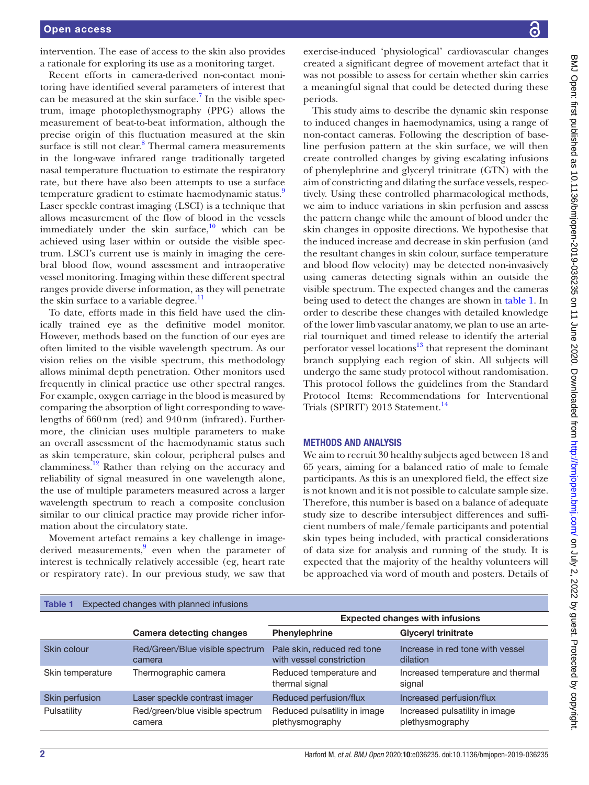intervention. The ease of access to the skin also provides a rationale for exploring its use as a monitoring target.

Recent efforts in camera-derived non-contact monitoring have identified several parameters of interest that can be measured at the skin surface.<sup>[7](#page-5-3)</sup> In the visible spectrum, image photoplethysmography (PPG) allows the measurement of beat-to-beat information, although the precise origin of this fluctuation measured at the skin surface is still not clear.<sup>[8](#page-5-4)</sup> Thermal camera measurements in the long-wave infrared range traditionally targeted nasal temperature fluctuation to estimate the respiratory rate, but there have also been attempts to use a surface temperature gradient to estimate haemodynamic status.<sup>[9](#page-5-5)</sup> Laser speckle contrast imaging (LSCI) is a technique that allows measurement of the flow of blood in the vessels immediately under the skin surface, $10$  which can be achieved using laser within or outside the visible spectrum. LSCI's current use is mainly in imaging the cerebral blood flow, wound assessment and intraoperative vessel monitoring. Imaging within these different spectral ranges provide diverse information, as they will penetrate the skin surface to a variable degree.<sup>[11](#page-5-7)</sup>

To date, efforts made in this field have used the clinically trained eye as the definitive model monitor. However, methods based on the function of our eyes are often limited to the visible wavelength spectrum. As our vision relies on the visible spectrum, this methodology allows minimal depth penetration. Other monitors used frequently in clinical practice use other spectral ranges. For example, oxygen carriage in the blood is measured by comparing the absorption of light corresponding to wavelengths of 660nm (red) and 940nm (infrared). Furthermore, the clinician uses multiple parameters to make an overall assessment of the haemodynamic status such as skin temperature, skin colour, peripheral pulses and clamminess.<sup>12</sup> Rather than relying on the accuracy and reliability of signal measured in one wavelength alone, the use of multiple parameters measured across a larger wavelength spectrum to reach a composite conclusion similar to our clinical practice may provide richer information about the circulatory state.

Movement artefact remains a key challenge in image-derived measurements,<sup>[9](#page-5-5)</sup> even when the parameter of interest is technically relatively accessible (eg, heart rate or respiratory rate). In our previous study, we saw that

exercise-induced 'physiological' cardiovascular changes created a significant degree of movement artefact that it was not possible to assess for certain whether skin carries a meaningful signal that could be detected during these periods.

This study aims to describe the dynamic skin response to induced changes in haemodynamics, using a range of non-contact cameras. Following the description of baseline perfusion pattern at the skin surface, we will then create controlled changes by giving escalating infusions of phenylephrine and glyceryl trinitrate (GTN) with the aim of constricting and dilating the surface vessels, respectively. Using these controlled pharmacological methods, we aim to induce variations in skin perfusion and assess the pattern change while the amount of blood under the skin changes in opposite directions. We hypothesise that the induced increase and decrease in skin perfusion (and the resultant changes in skin colour, surface temperature and blood flow velocity) may be detected non-invasively using cameras detecting signals within an outside the visible spectrum. The expected changes and the cameras being used to detect the changes are shown in [table](#page-1-0) 1. In order to describe these changes with detailed knowledge of the lower limb vascular anatomy, we plan to use an arterial tourniquet and timed release to identify the arterial perforator vessel locations<sup>13</sup> that represent the dominant branch supplying each region of skin. All subjects will undergo the same study protocol without randomisation. This protocol follows the guidelines from the Standard Protocol Items: Recommendations for Interventional Trials (SPIRIT) 2013 Statement.<sup>[14](#page-5-10)</sup>

#### Methods and analysis

We aim to recruit 30 healthy subjects aged between 18 and 65 years, aiming for a balanced ratio of male to female participants. As this is an unexplored field, the effect size is not known and it is not possible to calculate sample size. Therefore, this number is based on a balance of adequate study size to describe intersubject differences and sufficient numbers of male/female participants and potential skin types being included, with practical considerations of data size for analysis and running of the study. It is expected that the majority of the healthy volunteers will be approached via word of mouth and posters. Details of

<span id="page-1-0"></span>

| Expected changes with planned infusions<br><b>Table 1</b> |                                           |                                                         |                                                   |
|-----------------------------------------------------------|-------------------------------------------|---------------------------------------------------------|---------------------------------------------------|
|                                                           |                                           | <b>Expected changes with infusions</b>                  |                                                   |
|                                                           | <b>Camera detecting changes</b>           | <b>Phenylephrine</b>                                    | <b>Glyceryl trinitrate</b>                        |
| Skin colour                                               | Red/Green/Blue visible spectrum<br>camera | Pale skin, reduced red tone<br>with vessel constriction | Increase in red tone with yessel<br>dilation      |
| Skin temperature                                          | Thermographic camera                      | Reduced temperature and<br>thermal signal               | Increased temperature and thermal<br>signal       |
| Skin perfusion                                            | Laser speckle contrast imager             | Reduced perfusion/flux                                  | Increased perfusion/flux                          |
| Pulsatility                                               | Red/green/blue visible spectrum<br>camera | Reduced pulsatility in image<br>plethysmography         | Increased pulsatility in image<br>plethysmography |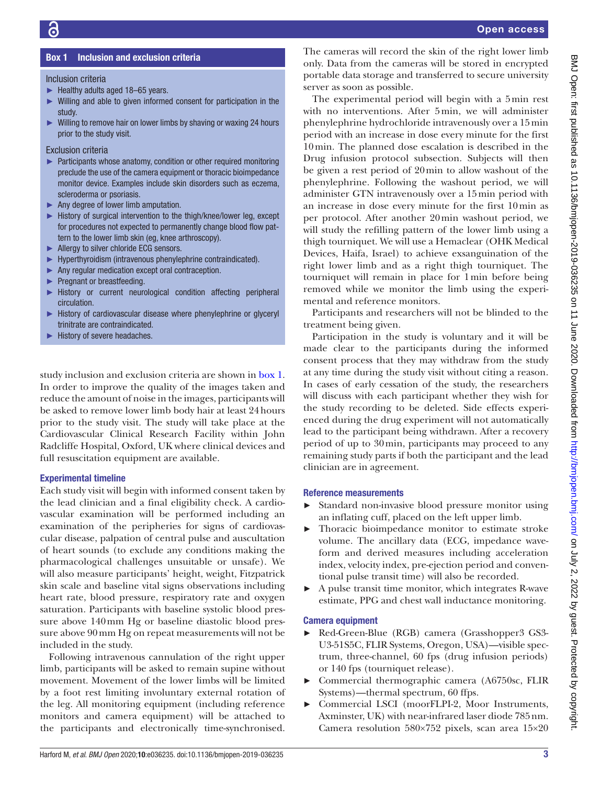# Box 1 Inclusion and exclusion criteria

#### <span id="page-2-0"></span>Inclusion criteria

- ► Healthy adults aged 18–65 years.
- ► Willing and able to given informed consent for participation in the study.
- ► Willing to remove hair on lower limbs by shaving or waxing 24 hours prior to the study visit.

Exclusion criteria

- ► Participants whose anatomy, condition or other required monitoring preclude the use of the camera equipment or thoracic bioimpedance monitor device. Examples include skin disorders such as eczema, scleroderma or psoriasis.
- ► Any degree of lower limb amputation.
- ► History of surgical intervention to the thigh/knee/lower leg, except for procedures not expected to permanently change blood flow pattern to the lower limb skin (eg, knee arthroscopy).
- ► Allergy to silver chloride ECG sensors.
- ► Hyperthyroidism (intravenous phenylephrine contraindicated).
- ► Any regular medication except oral contraception.
- ► Pregnant or breastfeeding.
- ► History or current neurological condition affecting peripheral circulation.
- ► History of cardiovascular disease where phenylephrine or glyceryl trinitrate are contraindicated.
- History of severe headaches.

study inclusion and exclusion criteria are shown in [box](#page-2-0) 1. In order to improve the quality of the images taken and reduce the amount of noise in the images, participants will be asked to remove lower limb body hair at least 24hours prior to the study visit. The study will take place at the Cardiovascular Clinical Research Facility within John Radcliffe Hospital, Oxford, UK where clinical devices and full resuscitation equipment are available.

#### Experimental timeline

Each study visit will begin with informed consent taken by the lead clinician and a final eligibility check. A cardiovascular examination will be performed including an examination of the peripheries for signs of cardiovascular disease, palpation of central pulse and auscultation of heart sounds (to exclude any conditions making the pharmacological challenges unsuitable or unsafe). We will also measure participants' height, weight, Fitzpatrick skin scale and baseline vital signs observations including heart rate, blood pressure, respiratory rate and oxygen saturation. Participants with baseline systolic blood pressure above 140mm Hg or baseline diastolic blood pressure above 90mm Hg on repeat measurements will not be included in the study.

Following intravenous cannulation of the right upper limb, participants will be asked to remain supine without movement. Movement of the lower limbs will be limited by a foot rest limiting involuntary external rotation of the leg. All monitoring equipment (including reference monitors and camera equipment) will be attached to the participants and electronically time-synchronised.

The cameras will record the skin of the right lower limb only. Data from the cameras will be stored in encrypted portable data storage and transferred to secure university server as soon as possible.

The experimental period will begin with a 5min rest with no interventions. After 5min, we will administer phenylephrine hydrochloride intravenously over a 15min period with an increase in dose every minute for the first 10min. The planned dose escalation is described in the Drug infusion protocol subsection. Subjects will then be given a rest period of 20min to allow washout of the phenylephrine. Following the washout period, we will administer GTN intravenously over a 15min period with an increase in dose every minute for the first 10min as per protocol. After another 20min washout period, we will study the refilling pattern of the lower limb using a thigh tourniquet. We will use a Hemaclear (OHK Medical Devices, Haifa, Israel) to achieve exsanguination of the right lower limb and as a right thigh tourniquet. The tourniquet will remain in place for 1min before being removed while we monitor the limb using the experimental and reference monitors.

Participants and researchers will not be blinded to the treatment being given.

Participation in the study is voluntary and it will be made clear to the participants during the informed consent process that they may withdraw from the study at any time during the study visit without citing a reason. In cases of early cessation of the study, the researchers will discuss with each participant whether they wish for the study recording to be deleted. Side effects experienced during the drug experiment will not automatically lead to the participant being withdrawn. After a recovery period of up to 30min, participants may proceed to any remaining study parts if both the participant and the lead clinician are in agreement.

#### Reference measurements

- ► Standard non-invasive blood pressure monitor using an inflating cuff, placed on the left upper limb.
- ► Thoracic bioimpedance monitor to estimate stroke volume. The ancillary data (ECG, impedance waveform and derived measures including acceleration index, velocity index, pre-ejection period and conventional pulse transit time) will also be recorded.
- ► A pulse transit time monitor, which integrates R-wave estimate, PPG and chest wall inductance monitoring.

# Camera equipment

- ► Red-Green-Blue (RGB) camera (Grasshopper3 GS3- U3-51S5C, FLIR Systems, Oregon, USA)—visible spectrum, three-channel, 60 fps (drug infusion periods) or 140 fps (tourniquet release).
- ► Commercial thermographic camera (A6750sc, FLIR Systems)—thermal spectrum, 60 ffps.
- Commercial LSCI (moorFLPI-2, Moor Instruments, Axminster, UK) with near-infrared laser diode 785nm. Camera resolution 580×752 pixels, scan area 15×20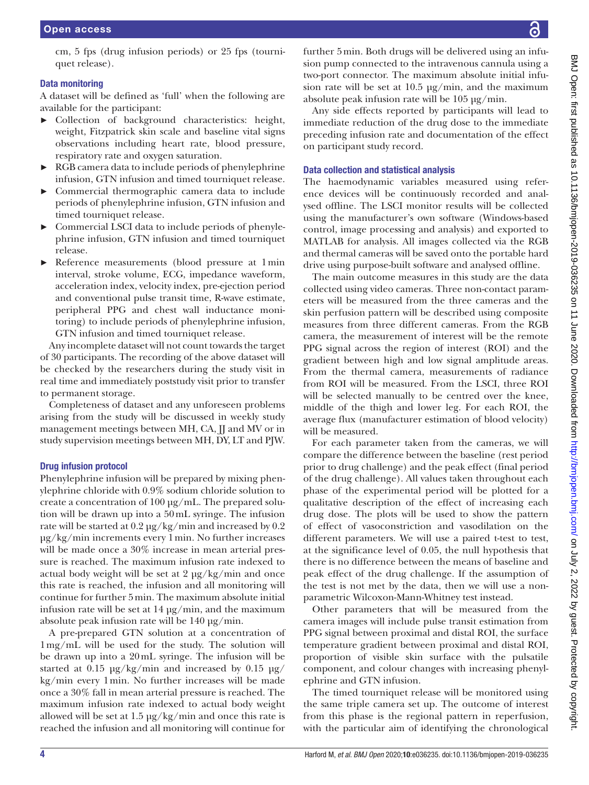cm, 5 fps (drug infusion periods) or 25 fps (tourniquet release).

## Data monitoring

A dataset will be defined as 'full' when the following are available for the participant:

- ► Collection of background characteristics: height, weight, Fitzpatrick skin scale and baseline vital signs observations including heart rate, blood pressure, respiratory rate and oxygen saturation.
- ► RGB camera data to include periods of phenylephrine infusion, GTN infusion and timed tourniquet release.
- ► Commercial thermographic camera data to include periods of phenylephrine infusion, GTN infusion and timed tourniquet release.
- Commercial LSCI data to include periods of phenylephrine infusion, GTN infusion and timed tourniquet release.
- Reference measurements (blood pressure at 1 min interval, stroke volume, ECG, impedance waveform, acceleration index, velocity index, pre-ejection period and conventional pulse transit time, R-wave estimate, peripheral PPG and chest wall inductance monitoring) to include periods of phenylephrine infusion, GTN infusion and timed tourniquet release.

Any incomplete dataset will not count towards the target of 30 participants. The recording of the above dataset will be checked by the researchers during the study visit in real time and immediately poststudy visit prior to transfer to permanent storage.

Completeness of dataset and any unforeseen problems arising from the study will be discussed in weekly study management meetings between MH, CA, JJ and MV or in study supervision meetings between MH, DY, LT and PJW.

# Drug infusion protocol

Phenylephrine infusion will be prepared by mixing phenylephrine chloride with 0.9% sodium chloride solution to create a concentration of 100 µg/mL. The prepared solution will be drawn up into a 50mL syringe. The infusion rate will be started at 0.2 µg/kg/min and increased by 0.2 µg/kg/min increments every 1min. No further increases will be made once a 30% increase in mean arterial pressure is reached. The maximum infusion rate indexed to actual body weight will be set at 2 µg/kg/min and once this rate is reached, the infusion and all monitoring will continue for further 5min. The maximum absolute initial infusion rate will be set at  $14 \mu g/min$ , and the maximum absolute peak infusion rate will be 140 µg/min.

A pre-prepared GTN solution at a concentration of 1mg/mL will be used for the study. The solution will be drawn up into a 20mL syringe. The infusion will be started at 0.15  $\mu$ g/kg/min and increased by 0.15  $\mu$ g/ kg/min every 1min. No further increases will be made once a 30% fall in mean arterial pressure is reached. The maximum infusion rate indexed to actual body weight allowed will be set at  $1.5 \mu g/kg/min$  and once this rate is reached the infusion and all monitoring will continue for

further 5min. Both drugs will be delivered using an infusion pump connected to the intravenous cannula using a two-port connector. The maximum absolute initial infusion rate will be set at  $10.5 \mu g/min$ , and the maximum absolute peak infusion rate will be 105 µg/min.

Any side effects reported by participants will lead to immediate reduction of the drug dose to the immediate preceding infusion rate and documentation of the effect on participant study record.

# Data collection and statistical analysis

The haemodynamic variables measured using reference devices will be continuously recorded and analysed offline. The LSCI monitor results will be collected using the manufacturer's own software (Windows-based control, image processing and analysis) and exported to MATLAB for analysis. All images collected via the RGB and thermal cameras will be saved onto the portable hard drive using purpose-built software and analysed offline.

The main outcome measures in this study are the data collected using video cameras. Three non-contact parameters will be measured from the three cameras and the skin perfusion pattern will be described using composite measures from three different cameras. From the RGB camera, the measurement of interest will be the remote PPG signal across the region of interest (ROI) and the gradient between high and low signal amplitude areas. From the thermal camera, measurements of radiance from ROI will be measured. From the LSCI, three ROI will be selected manually to be centred over the knee, middle of the thigh and lower leg. For each ROI, the average flux (manufacturer estimation of blood velocity) will be measured.

For each parameter taken from the cameras, we will compare the difference between the baseline (rest period prior to drug challenge) and the peak effect (final period of the drug challenge). All values taken throughout each phase of the experimental period will be plotted for a qualitative description of the effect of increasing each drug dose. The plots will be used to show the pattern of effect of vasoconstriction and vasodilation on the different parameters. We will use a paired t-test to test, at the significance level of 0.05, the null hypothesis that there is no difference between the means of baseline and peak effect of the drug challenge. If the assumption of the test is not met by the data, then we will use a nonparametric Wilcoxon-Mann-Whitney test instead.

Other parameters that will be measured from the camera images will include pulse transit estimation from PPG signal between proximal and distal ROI, the surface temperature gradient between proximal and distal ROI, proportion of visible skin surface with the pulsatile component, and colour changes with increasing phenylephrine and GTN infusion.

The timed tourniquet release will be monitored using the same triple camera set up. The outcome of interest from this phase is the regional pattern in reperfusion, with the particular aim of identifying the chronological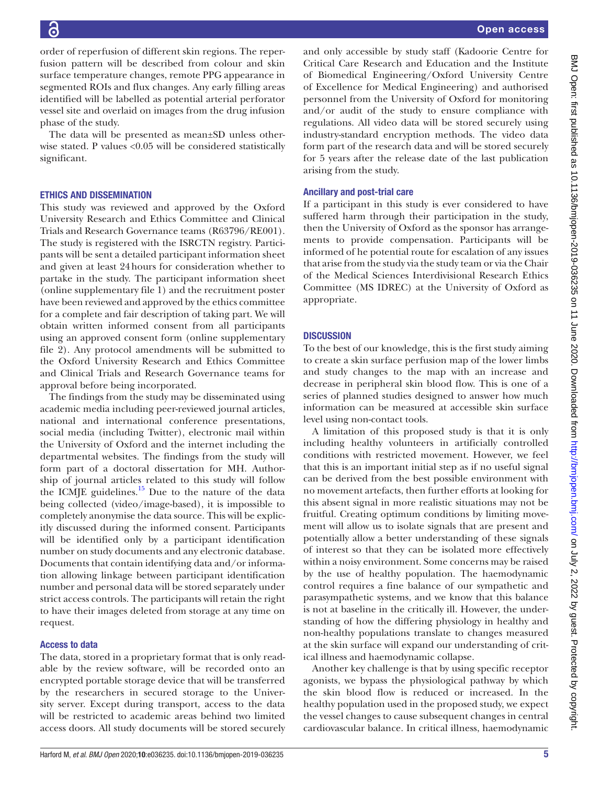order of reperfusion of different skin regions. The reperfusion pattern will be described from colour and skin surface temperature changes, remote PPG appearance in segmented ROIs and flux changes. Any early filling areas identified will be labelled as potential arterial perforator vessel site and overlaid on images from the drug infusion phase of the study.

The data will be presented as mean±SD unless otherwise stated. P values <0.05 will be considered statistically significant.

# Ethics and dissemination

This study was reviewed and approved by the Oxford University Research and Ethics Committee and Clinical Trials and Research Governance teams (R63796/RE001). The study is registered with the ISRCTN registry. Participants will be sent a detailed participant information sheet and given at least 24hours for consideration whether to partake in the study. The participant information sheet ([online supplementary file 1](https://dx.doi.org/10.1136/bmjopen-2019-036235)) and the recruitment poster have been reviewed and approved by the ethics committee for a complete and fair description of taking part. We will obtain written informed consent from all participants using an approved consent form [\(online supplementary](https://dx.doi.org/10.1136/bmjopen-2019-036235) [file 2\)](https://dx.doi.org/10.1136/bmjopen-2019-036235). Any protocol amendments will be submitted to the Oxford University Research and Ethics Committee and Clinical Trials and Research Governance teams for approval before being incorporated.

The findings from the study may be disseminated using academic media including peer-reviewed journal articles, national and international conference presentations, social media (including Twitter), electronic mail within the University of Oxford and the internet including the departmental websites. The findings from the study will form part of a doctoral dissertation for MH. Authorship of journal articles related to this study will follow the ICMJE guidelines.<sup>[15](#page-5-11)</sup> Due to the nature of the data being collected (video/image-based), it is impossible to completely anonymise the data source. This will be explicitly discussed during the informed consent. Participants will be identified only by a participant identification number on study documents and any electronic database. Documents that contain identifying data and/or information allowing linkage between participant identification number and personal data will be stored separately under strict access controls. The participants will retain the right to have their images deleted from storage at any time on request.

# Access to data

The data, stored in a proprietary format that is only readable by the review software, will be recorded onto an encrypted portable storage device that will be transferred by the researchers in secured storage to the University server. Except during transport, access to the data will be restricted to academic areas behind two limited access doors. All study documents will be stored securely

and only accessible by study staff (Kadoorie Centre for Critical Care Research and Education and the Institute of Biomedical Engineering/Oxford University Centre of Excellence for Medical Engineering) and authorised personnel from the University of Oxford for monitoring and/or audit of the study to ensure compliance with regulations. All video data will be stored securely using industry-standard encryption methods. The video data form part of the research data and will be stored securely for 5 years after the release date of the last publication arising from the study.

# Ancillary and post-trial care

If a participant in this study is ever considered to have suffered harm through their participation in the study, then the University of Oxford as the sponsor has arrangements to provide compensation. Participants will be informed of he potential route for escalation of any issues that arise from the study via the study team or via the Chair of the Medical Sciences Interdivisional Research Ethics Committee (MS IDREC) at the University of Oxford as appropriate.

# **DISCUSSION**

To the best of our knowledge, this is the first study aiming to create a skin surface perfusion map of the lower limbs and study changes to the map with an increase and decrease in peripheral skin blood flow. This is one of a series of planned studies designed to answer how much information can be measured at accessible skin surface level using non-contact tools.

A limitation of this proposed study is that it is only including healthy volunteers in artificially controlled conditions with restricted movement. However, we feel that this is an important initial step as if no useful signal can be derived from the best possible environment with no movement artefacts, then further efforts at looking for this absent signal in more realistic situations may not be fruitful. Creating optimum conditions by limiting movement will allow us to isolate signals that are present and potentially allow a better understanding of these signals of interest so that they can be isolated more effectively within a noisy environment. Some concerns may be raised by the use of healthy population. The haemodynamic control requires a fine balance of our sympathetic and parasympathetic systems, and we know that this balance is not at baseline in the critically ill. However, the understanding of how the differing physiology in healthy and non-healthy populations translate to changes measured at the skin surface will expand our understanding of critical illness and haemodynamic collapse.

Another key challenge is that by using specific receptor agonists, we bypass the physiological pathway by which the skin blood flow is reduced or increased. In the healthy population used in the proposed study, we expect the vessel changes to cause subsequent changes in central cardiovascular balance. In critical illness, haemodynamic